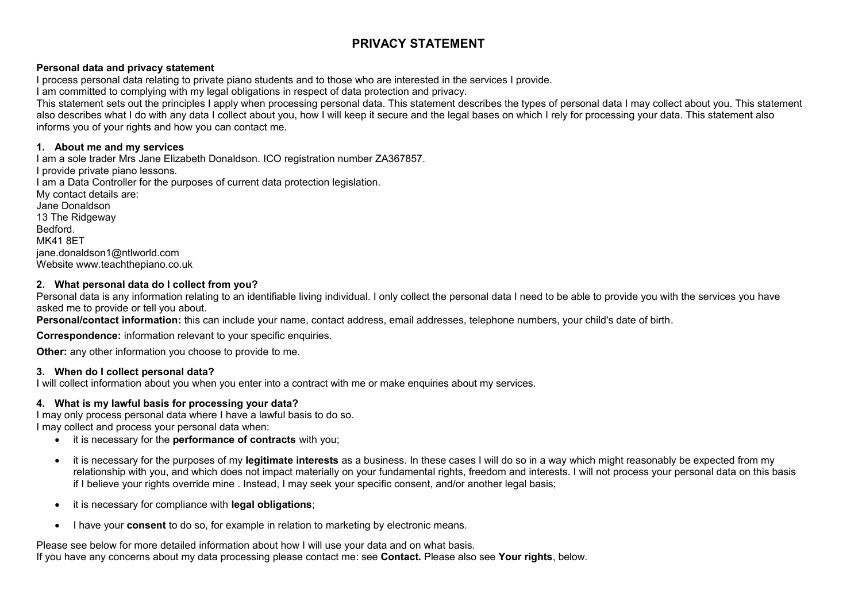# **PRIVACY STATEMENT**

# **Personal data and privacy statement**

I process personal data relating to private piano students and to those who are interested in the services I provide.

I am committed to complying with my legal obligations in respect of data protection and privacy.

This statement sets out the principles I apply when processing personal data. This statement describes the types of personal data I may collect about you. This statement also describes what I do with any data I collect about you, how I will keep it secure and the legal bases on which I rely for processing your data. This statement also informs you of your rights and how you can contact me.

# **1. About me and my services**

I am a sole trader Mrs Jane Elizabeth Donaldson. ICO registration number ZA367857. I provide private piano lessons*.* I am a Data Controller for the purposes of current data protection legislation. My contact details are: Jane Donaldson 13 The Ridgeway Bedford. MK41 8ET jane.donaldson1@ntlworld.com Website www.teachthepiano.co.uk

# **2. What personal data do I collect from you?**

Personal data is any information relating to an identifiable living individual. I only collect the personal data I need to be able to provide you with the services you have asked me to provide or tell you about.

Personal/contact information: this can include your name, contact address, email addresses, telephone numbers, your child's date of birth.

**Correspondence:** information relevant to your specific enquiries.

**Other:** any other information you choose to provide to me.

# **3. When do I collect personal data?**

I will collect information about you when you enter into a contract with me or make enquiries about my services.

# **4. What is my lawful basis for processing your data?**

I may only process personal data where I have a lawful basis to do so. I may collect and process your personal data when:

- it is necessary for the **performance of contracts** with you;
- it is necessary for the purposes of my **legitimate interests** as a business. In these cases I will do so in a way which might reasonably be expected from my relationship with you, and which does not impact materially on your fundamental rights, freedom and interests. I will not process your personal data on this basis if I believe your rights override mine . Instead, I may seek your specific consent, and/or another legal basis;
- it is necessary for compliance with **legal obligations**;
- I have your **consent** to do so, for example in relation to marketing by electronic means.

Please see below for more detailed information about how I will use your data and on what basis. If you have any concerns about my data processing please contact me: see **Contact.** Please also see **Your rights**, below.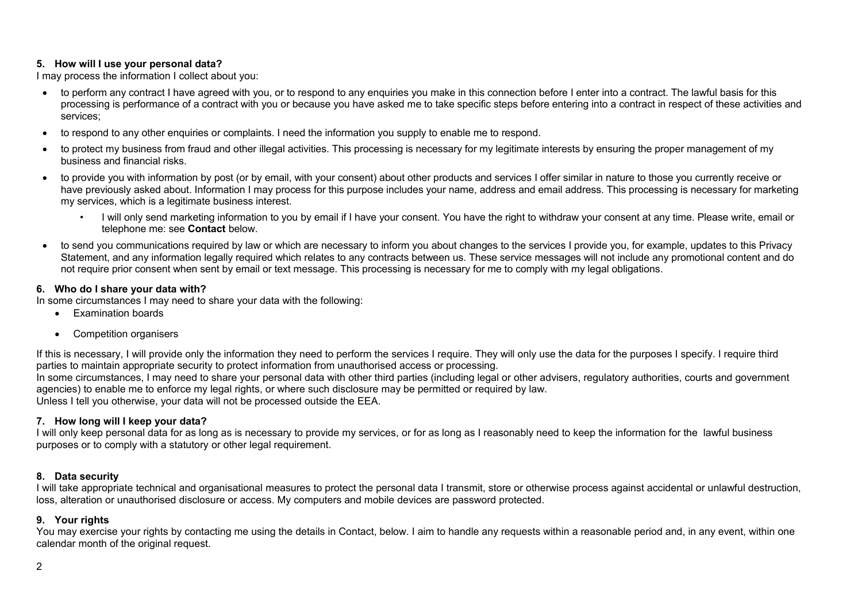# **5. How will I use your personal data?**

I may process the information I collect about you:

- to perform any contract I have agreed with you, or to respond to any enquiries you make in this connection before I enter into a contract. The lawful basis for this processing is performance of a contract with you or because you have asked me to take specific steps before entering into a contract in respect of these activities and services;
- to respond to any other enquiries or complaints. I need the information you supply to enable me to respond.
- to protect my business from fraud and other illegal activities. This processing is necessary for my legitimate interests by ensuring the proper management of my business and financial risks.
- to provide you with information by post (or by email, with your consent) about other products and services I offer similar in nature to those you currently receive or have previously asked about. Information I may process for this purpose includes your name, address and email address. This processing is necessary for marketing my services, which is a legitimate business interest.
	- I will only send marketing information to you by email if I have your consent. You have the right to withdraw your consent at any time. Please write, email or telephone me: see **Contact** below.
- to send you communications required by law or which are necessary to inform you about changes to the services I provide you, for example, updates to this Privacy Statement, and any information legally required which relates to any contracts between us. These service messages will not include any promotional content and do not require prior consent when sent by email or text message. This processing is necessary for me to comply with my legal obligations.

# **6. Who do I share your data with?**

In some circumstances I may need to share your data with the following:

- Examination boards
- Competition organisers

If this is necessary, I will provide only the information they need to perform the services I require. They will only use the data for the purposes I specify. I require third parties to maintain appropriate security to protect information from unauthorised access or processing. In some circumstances, I may need to share your personal data with other third parties (including legal or other advisers, regulatory authorities, courts and government

agencies) to enable me to enforce my legal rights, or where such disclosure may be permitted or required by law. Unless I tell you otherwise, your data will not be processed outside the EEA.

# **7. How long will I keep your data?**

I will only keep personal data for as long as is necessary to provide my services, or for as long as I reasonably need to keep the information for the lawful business purposes or to comply with a statutory or other legal requirement.

# **8. Data security**

I will take appropriate technical and organisational measures to protect the personal data I transmit, store or otherwise process against accidental or unlawful destruction, loss, alteration or unauthorised disclosure or access. My computers and mobile devices are password protected.

# **9. Your rights**

You may exercise your rights by contacting me using the details in Contact, below. I aim to handle any requests within a reasonable period and, in any event, within one calendar month of the original request.